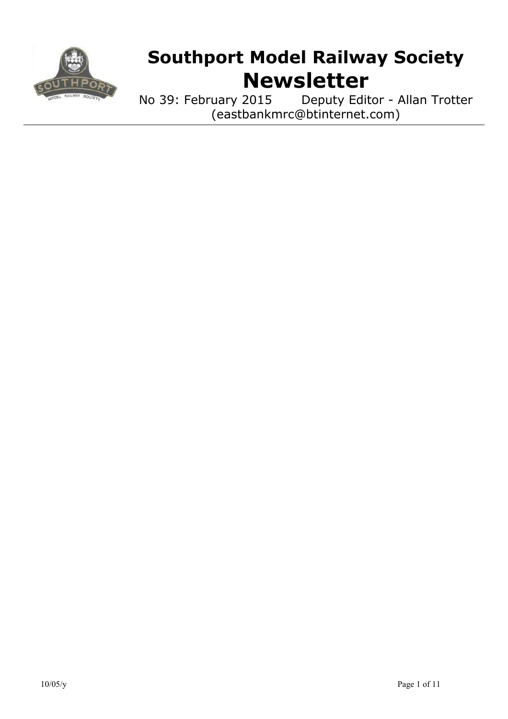

# **Southport Model Railway Society Newsletter**

No 39: February 2015 Deputy Editor - Allan Trotter (eastbankmrc@btinternet.com)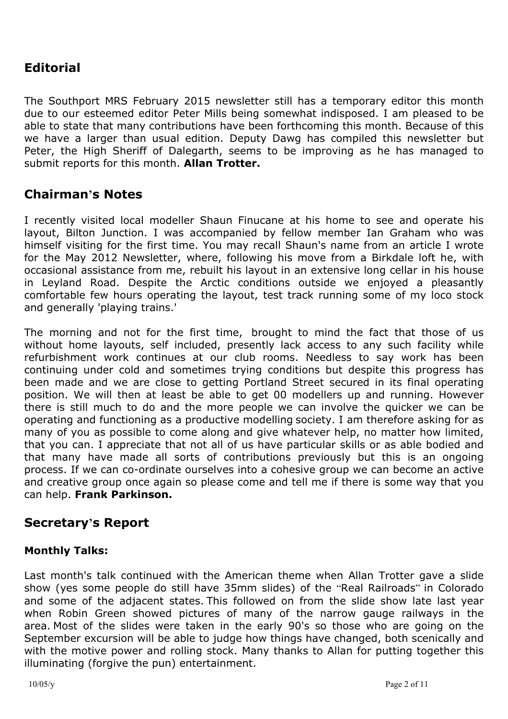## **Editorial**

The Southport MRS February 2015 newsletter still has a temporary editor this month due to our esteemed editor Peter Mills being somewhat indisposed. I am pleased to be able to state that many contributions have been forthcoming this month. Because of this we have a larger than usual edition. Deputy Dawg has compiled this newsletter but Peter, the High Sheriff of Dalegarth, seems to be improving as he has managed to submit reports for this month. **Allan Trotter.**

## **Chairman's Notes**

I recently visited local modeller Shaun Finucane at his home to see and operate his layout, Bilton Junction. I was accompanied by fellow member Ian Graham who was himself visiting for the first time. You may recall Shaun's name from an article I wrote for the May 2012 Newsletter, where, following his move from a Birkdale loft he, with occasional assistance from me, rebuilt his layout in an extensive long cellar in his house in Leyland Road. Despite the Arctic conditions outside we enjoyed a pleasantly comfortable few hours operating the layout, test track running some of my loco stock and generally 'playing trains.'

The morning and not for the first time, brought to mind the fact that those of us without home layouts, self included, presently lack access to any such facility while refurbishment work continues at our club rooms. Needless to say work has been continuing under cold and sometimes trying conditions but despite this progress has been made and we are close to getting Portland Street secured in its final operating position. We will then at least be able to get 00 modellers up and running. However there is still much to do and the more people we can involve the quicker we can be operating and functioning as a productive modelling society. I am therefore asking for as many of you as possible to come along and give whatever help, no matter how limited, that you can. I appreciate that not all of us have particular skills or as able bodied and that many have made all sorts of contributions previously but this is an ongoing process. If we can co-ordinate ourselves into a cohesive group we can become an active and creative group once again so please come and tell me if there is some way that you can help. **Frank Parkinson.**

## **Secretary's Report**

#### **Monthly Talks:**

Last month's talk continued with the American theme when Allan Trotter gave a slide show (yes some people do still have 35mm slides) of the "Real Railroads" in Colorado and some of the adjacent states. This followed on from the slide show late last year when Robin Green showed pictures of many of the narrow gauge railways in the area. Most of the slides were taken in the early 90's so those who are going on the September excursion will be able to judge how things have changed, both scenically and with the motive power and rolling stock. Many thanks to Allan for putting together this illuminating (forgive the pun) entertainment.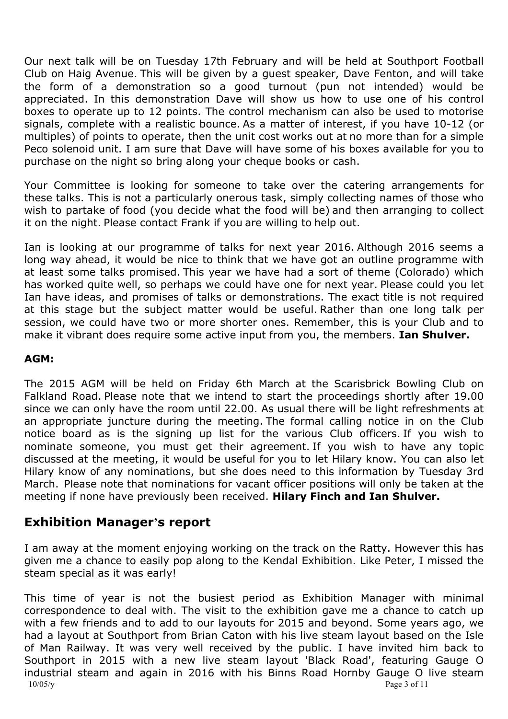Our next talk will be on Tuesday 17th February and will be held at Southport Football Club on Haig Avenue. This will be given by a guest speaker, Dave Fenton, and will take the form of a demonstration so a good turnout (pun not intended) would be appreciated. In this demonstration Dave will show us how to use one of his control boxes to operate up to 12 points. The control mechanism can also be used to motorise signals, complete with a realistic bounce. As a matter of interest, if you have 10-12 (or multiples) of points to operate, then the unit cost works out at no more than for a simple Peco solenoid unit. I am sure that Dave will have some of his boxes available for you to purchase on the night so bring along your cheque books or cash.

Your Committee is looking for someone to take over the catering arrangements for these talks. This is not a particularly onerous task, simply collecting names of those who wish to partake of food (you decide what the food will be) and then arranging to collect it on the night. Please contact Frank if you are willing to help out.

Ian is looking at our programme of talks for next year 2016. Although 2016 seems a long way ahead, it would be nice to think that we have got an outline programme with at least some talks promised. This year we have had a sort of theme (Colorado) which has worked quite well, so perhaps we could have one for next year. Please could you let Ian have ideas, and promises of talks or demonstrations. The exact title is not required at this stage but the subject matter would be useful. Rather than one long talk per session, we could have two or more shorter ones. Remember, this is your Club and to make it vibrant does require some active input from you, the members. **Ian Shulver.**

#### **AGM:**

The 2015 AGM will be held on Friday 6th March at the Scarisbrick Bowling Club on Falkland Road. Please note that we intend to start the proceedings shortly after 19.00 since we can only have the room until 22.00. As usual there will be light refreshments at an appropriate juncture during the meeting. The formal calling notice in on the Club notice board as is the signing up list for the various Club officers. If you wish to nominate someone, you must get their agreement. If you wish to have any topic discussed at the meeting, it would be useful for you to let Hilary know. You can also let Hilary know of any nominations, but she does need to this information by Tuesday 3rd March. Please note that nominations for vacant officer positions will only be taken at the meeting if none have previously been received. **Hilary Finch and Ian Shulver.**

## **Exhibition Manager's report**

I am away at the moment enjoying working on the track on the Ratty. However this has given me a chance to easily pop along to the Kendal Exhibition. Like Peter, I missed the steam special as it was early!

10/05/y Page 3 of 11 This time of year is not the busiest period as Exhibition Manager with minimal correspondence to deal with. The visit to the exhibition gave me a chance to catch up with a few friends and to add to our layouts for 2015 and beyond. Some years ago, we had a layout at Southport from Brian Caton with his live steam layout based on the Isle of Man Railway. It was very well received by the public. I have invited him back to Southport in 2015 with a new live steam layout 'Black Road', featuring Gauge O industrial steam and again in 2016 with his Binns Road Hornby Gauge O live steam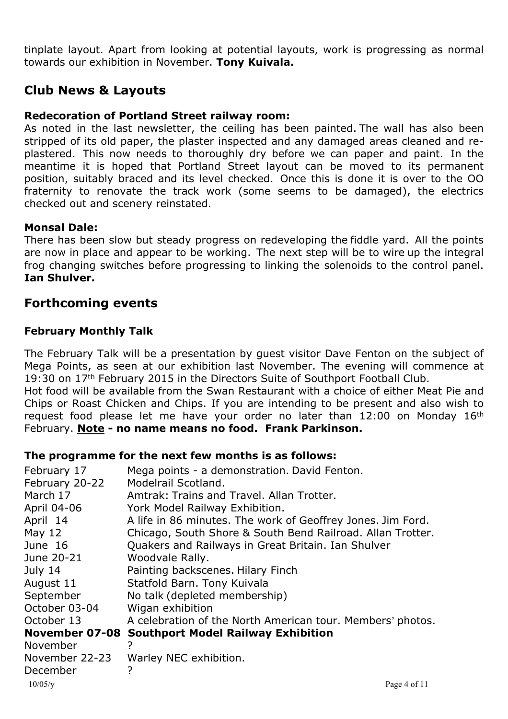tinplate layout. Apart from looking at potential layouts, work is progressing as normal towards our exhibition in November. **Tony Kuivala.**

## **Club News & Layouts**

#### **Redecoration of Portland Street railway room:**

As noted in the last newsletter, the ceiling has been painted. The wall has also been stripped of its old paper, the plaster inspected and any damaged areas cleaned and replastered. This now needs to thoroughly dry before we can paper and paint. In the meantime it is hoped that Portland Street layout can be moved to its permanent position, suitably braced and its level checked. Once this is done it is over to the OO fraternity to renovate the track work (some seems to be damaged), the electrics checked out and scenery reinstated.

#### **Monsal Dale:**

There has been slow but steady progress on redeveloping the fiddle yard. All the points are now in place and appear to be working. The next step will be to wire up the integral frog changing switches before progressing to linking the solenoids to the control panel. **Ian Shulver.**

## **Forthcoming events**

#### **February Monthly Talk**

The February Talk will be a presentation by guest visitor Dave Fenton on the subject of Mega Points, as seen at our exhibition last November. The evening will commence at 19:30 on 17<sup>th</sup> February 2015 in the Directors Suite of Southport Football Club.

Hot food will be available from the Swan Restaurant with a choice of either Meat Pie and Chips or Roast Chicken and Chips. If you are intending to be present and also wish to request food please let me have your order no later than 12:00 on Monday 16th February. **Note - no name means no food. Frank Parkinson.**

#### **The programme for the next few months is as follows:**

| February 17    | Mega points - a demonstration. David Fenton.                |
|----------------|-------------------------------------------------------------|
| February 20-22 | Modelrail Scotland.                                         |
| March 17       | Amtrak: Trains and Travel. Allan Trotter.                   |
| April 04-06    | York Model Railway Exhibition.                              |
| April 14       | A life in 86 minutes. The work of Geoffrey Jones. Jim Ford. |
| May $12$       | Chicago, South Shore & South Bend Railroad. Allan Trotter.  |
| June 16        | Quakers and Railways in Great Britain. Ian Shulver          |
| June 20-21     | Woodvale Rally.                                             |
| July 14        | Painting backscenes. Hilary Finch                           |
| August 11      | Statfold Barn. Tony Kuivala                                 |
| September      | No talk (depleted membership)                               |
| October 03-04  | Wigan exhibition                                            |
| October 13     | A celebration of the North American tour. Members' photos.  |
| November 07-08 | <b>Southport Model Railway Exhibition</b>                   |
| November       | 7                                                           |
| November 22-23 | Warley NEC exhibition.                                      |
| December       | 7                                                           |
| 10/05/y        | Page 4 of 11                                                |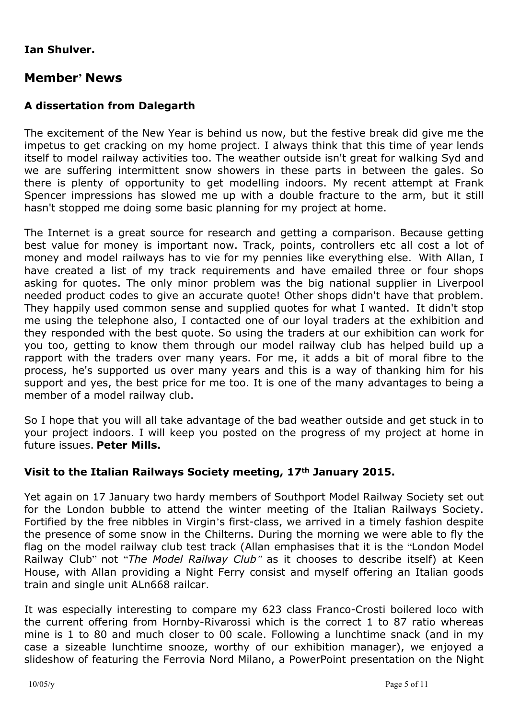#### **Ian Shulver.**

## **Member' News**

### **A dissertation from Dalegarth**

The excitement of the New Year is behind us now, but the festive break did give me the impetus to get cracking on my home project. I always think that this time of year lends itself to model railway activities too. The weather outside isn't great for walking Syd and we are suffering intermittent snow showers in these parts in between the gales. So there is plenty of opportunity to get modelling indoors. My recent attempt at Frank Spencer impressions has slowed me up with a double fracture to the arm, but it still hasn't stopped me doing some basic planning for my project at home.

The Internet is a great source for research and getting a comparison. Because getting best value for money is important now. Track, points, controllers etc all cost a lot of money and model railways has to vie for my pennies like everything else. With Allan, I have created a list of my track requirements and have emailed three or four shops asking for quotes. The only minor problem was the big national supplier in Liverpool needed product codes to give an accurate quote! Other shops didn't have that problem. They happily used common sense and supplied quotes for what I wanted. It didn't stop me using the telephone also, I contacted one of our loyal traders at the exhibition and they responded with the best quote. So using the traders at our exhibition can work for you too, getting to know them through our model railway club has helped build up a rapport with the traders over many years. For me, it adds a bit of moral fibre to the process, he's supported us over many years and this is a way of thanking him for his support and yes, the best price for me too. It is one of the many advantages to being a member of a model railway club.

So I hope that you will all take advantage of the bad weather outside and get stuck in to your project indoors. I will keep you posted on the progress of my project at home in future issues. **Peter Mills.**

#### **Visit to the Italian Railways Society meeting, 17th January 2015.**

Yet again on 17 January two hardy members of Southport Model Railway Society set out for the London bubble to attend the winter meeting of the Italian Railways Society. Fortified by the free nibbles in Virgin's first-class, we arrived in a timely fashion despite the presence of some snow in the Chilterns. During the morning we were able to fly the flag on the model railway club test track (Allan emphasises that it is the "London Model Railway Club" not "*The Model Railway Club"* as it chooses to describe itself) at Keen House, with Allan providing a Night Ferry consist and myself offering an Italian goods train and single unit ALn668 railcar.

It was especially interesting to compare my 623 class Franco-Crosti boilered loco with the current offering from Hornby-Rivarossi which is the correct 1 to 87 ratio whereas mine is 1 to 80 and much closer to 00 scale. Following a lunchtime snack (and in my case a sizeable lunchtime snooze, worthy of our exhibition manager), we enjoyed a slideshow of featuring the Ferrovia Nord Milano, a PowerPoint presentation on the Night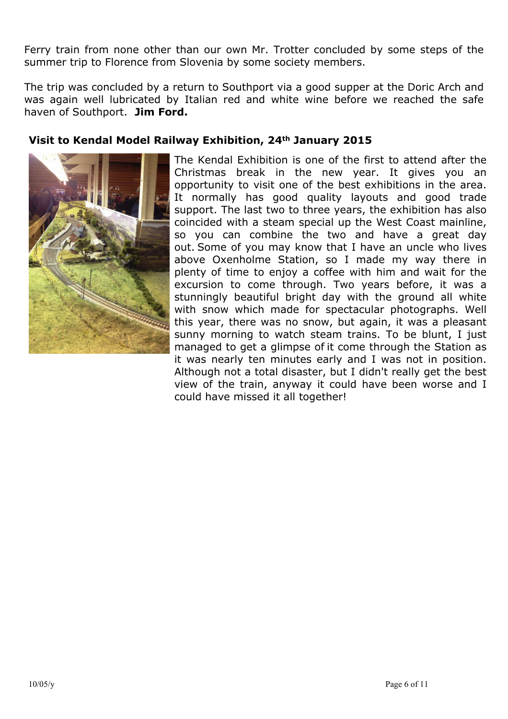Ferry train from none other than our own Mr. Trotter concluded by some steps of the summer trip to Florence from Slovenia by some society members.

The trip was concluded by a return to Southport via a good supper at the Doric Arch and was again well lubricated by Italian red and white wine before we reached the safe haven of Southport. **Jim Ford.**

#### **Visit to Kendal Model Railway Exhibition, 24th January 2015**



The Kendal Exhibition is one of the first to attend after the Christmas break in the new year. It gives you an opportunity to visit one of the best exhibitions in the area. It normally has good quality layouts and good trade support. The last two to three years, the exhibition has also coincided with a steam special up the West Coast mainline, so you can combine the two and have a great day out. Some of you may know that I have an uncle who lives above Oxenholme Station, so I made my way there in plenty of time to enjoy a coffee with him and wait for the excursion to come through. Two years before, it was a stunningly beautiful bright day with the ground all white with snow which made for spectacular photographs. Well this year, there was no snow, but again, it was a pleasant sunny morning to watch steam trains. To be blunt, I just managed to get a glimpse of it come through the Station as it was nearly ten minutes early and I was not in position. Although not a total disaster, but I didn't really get the best view of the train, anyway it could have been worse and I could have missed it all together!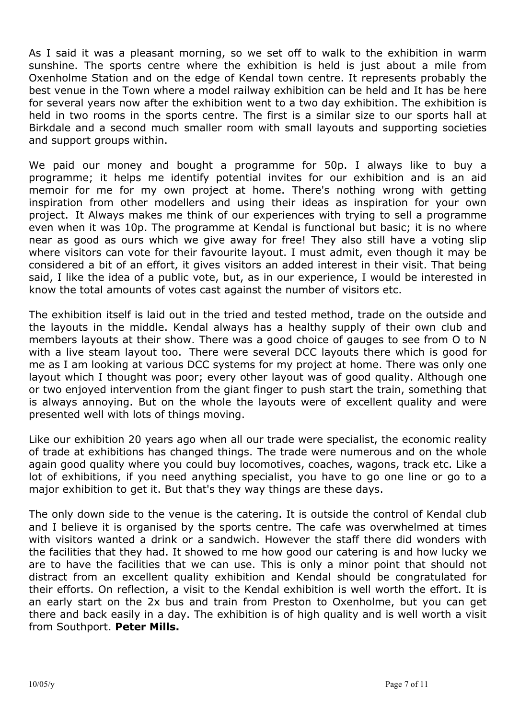As I said it was a pleasant morning, so we set off to walk to the exhibition in warm sunshine. The sports centre where the exhibition is held is just about a mile from Oxenholme Station and on the edge of Kendal town centre. It represents probably the best venue in the Town where a model railway exhibition can be held and It has be here for several years now after the exhibition went to a two day exhibition. The exhibition is held in two rooms in the sports centre. The first is a similar size to our sports hall at Birkdale and a second much smaller room with small layouts and supporting societies and support groups within.

We paid our money and bought a programme for 50p. I always like to buy a programme; it helps me identify potential invites for our exhibition and is an aid memoir for me for my own project at home. There's nothing wrong with getting inspiration from other modellers and using their ideas as inspiration for your own project. It Always makes me think of our experiences with trying to sell a programme even when it was 10p. The programme at Kendal is functional but basic; it is no where near as good as ours which we give away for free! They also still have a voting slip where visitors can vote for their favourite layout. I must admit, even though it may be considered a bit of an effort, it gives visitors an added interest in their visit. That being said, I like the idea of a public vote, but, as in our experience, I would be interested in know the total amounts of votes cast against the number of visitors etc.

The exhibition itself is laid out in the tried and tested method, trade on the outside and the layouts in the middle. Kendal always has a healthy supply of their own club and members layouts at their show. There was a good choice of gauges to see from O to N with a live steam layout too. There were several DCC layouts there which is good for me as I am looking at various DCC systems for my project at home. There was only one layout which I thought was poor; every other layout was of good quality. Although one or two enjoyed intervention from the giant finger to push start the train, something that is always annoying. But on the whole the layouts were of excellent quality and were presented well with lots of things moving.

Like our exhibition 20 years ago when all our trade were specialist, the economic reality of trade at exhibitions has changed things. The trade were numerous and on the whole again good quality where you could buy locomotives, coaches, wagons, track etc. Like a lot of exhibitions, if you need anything specialist, you have to go one line or go to a major exhibition to get it. But that's they way things are these days.

The only down side to the venue is the catering. It is outside the control of Kendal club and I believe it is organised by the sports centre. The cafe was overwhelmed at times with visitors wanted a drink or a sandwich. However the staff there did wonders with the facilities that they had. It showed to me how good our catering is and how lucky we are to have the facilities that we can use. This is only a minor point that should not distract from an excellent quality exhibition and Kendal should be congratulated for their efforts. On reflection, a visit to the Kendal exhibition is well worth the effort. It is an early start on the 2x bus and train from Preston to Oxenholme, but you can get there and back easily in a day. The exhibition is of high quality and is well worth a visit from Southport. **Peter Mills.**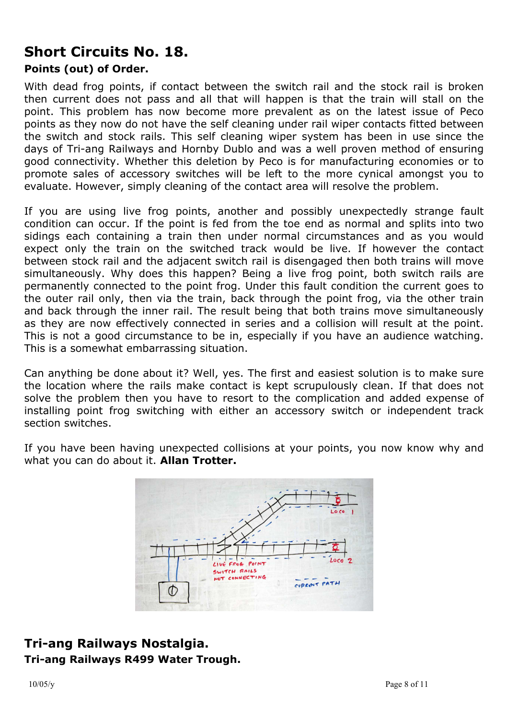## **Short Circuits No. 18.**

#### **Points (out) of Order.**

With dead frog points, if contact between the switch rail and the stock rail is broken then current does not pass and all that will happen is that the train will stall on the point. This problem has now become more prevalent as on the latest issue of Peco points as they now do not have the self cleaning under rail wiper contacts fitted between the switch and stock rails. This self cleaning wiper system has been in use since the days of Tri-ang Railways and Hornby Dublo and was a well proven method of ensuring good connectivity. Whether this deletion by Peco is for manufacturing economies or to promote sales of accessory switches will be left to the more cynical amongst you to evaluate. However, simply cleaning of the contact area will resolve the problem.

If you are using live frog points, another and possibly unexpectedly strange fault condition can occur. If the point is fed from the toe end as normal and splits into two sidings each containing a train then under normal circumstances and as you would expect only the train on the switched track would be live. If however the contact between stock rail and the adjacent switch rail is disengaged then both trains will move simultaneously. Why does this happen? Being a live frog point, both switch rails are permanently connected to the point frog. Under this fault condition the current goes to the outer rail only, then via the train, back through the point frog, via the other train and back through the inner rail. The result being that both trains move simultaneously as they are now effectively connected in series and a collision will result at the point. This is not a good circumstance to be in, especially if you have an audience watching. This is a somewhat embarrassing situation.

Can anything be done about it? Well, yes. The first and easiest solution is to make sure the location where the rails make contact is kept scrupulously clean. If that does not solve the problem then you have to resort to the complication and added expense of installing point frog switching with either an accessory switch or independent track section switches.

If you have been having unexpected collisions at your points, you now know why and what you can do about it. **Allan Trotter.**



## **Tri-ang Railways Nostalgia. Tri-ang Railways R499 Water Trough.**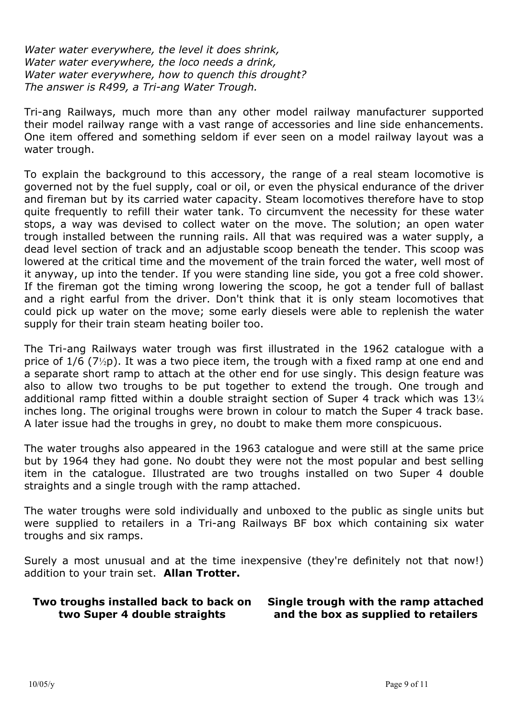*Water water everywhere, the level it does shrink, Water water everywhere, the loco needs a drink, Water water everywhere, how to quench this drought? The answer is R499, a Tri-ang Water Trough.*

Tri-ang Railways, much more than any other model railway manufacturer supported their model railway range with a vast range of accessories and line side enhancements. One item offered and something seldom if ever seen on a model railway layout was a water trough.

To explain the background to this accessory, the range of a real steam locomotive is governed not by the fuel supply, coal or oil, or even the physical endurance of the driver and fireman but by its carried water capacity. Steam locomotives therefore have to stop quite frequently to refill their water tank. To circumvent the necessity for these water stops, a way was devised to collect water on the move. The solution; an open water trough installed between the running rails. All that was required was a water supply, a dead level section of track and an adjustable scoop beneath the tender. This scoop was lowered at the critical time and the movement of the train forced the water, well most of it anyway, up into the tender. If you were standing line side, you got a free cold shower. If the fireman got the timing wrong lowering the scoop, he got a tender full of ballast and a right earful from the driver. Don't think that it is only steam locomotives that could pick up water on the move; some early diesels were able to replenish the water supply for their train steam heating boiler too.

The Tri-ang Railways water trough was first illustrated in the 1962 catalogue with a price of 1/6 (7½p). It was a two piece item, the trough with a fixed ramp at one end and a separate short ramp to attach at the other end for use singly. This design feature was also to allow two troughs to be put together to extend the trough. One trough and additional ramp fitted within a double straight section of Super 4 track which was 13<sup>1/4</sup> inches long. The original troughs were brown in colour to match the Super 4 track base. A later issue had the troughs in grey, no doubt to make them more conspicuous.

The water troughs also appeared in the 1963 catalogue and were still at the same price but by 1964 they had gone. No doubt they were not the most popular and best selling item in the catalogue. Illustrated are two troughs installed on two Super 4 double straights and a single trough with the ramp attached.

The water troughs were sold individually and unboxed to the public as single units but were supplied to retailers in a Tri-ang Railways BF box which containing six water troughs and six ramps.

Surely a most unusual and at the time inexpensive (they're definitely not that now!) addition to your train set. **Allan Trotter.**

#### **Two troughs installed back to back on two Super 4 double straights**

#### **Single trough with the ramp attached and the box as supplied to retailers**